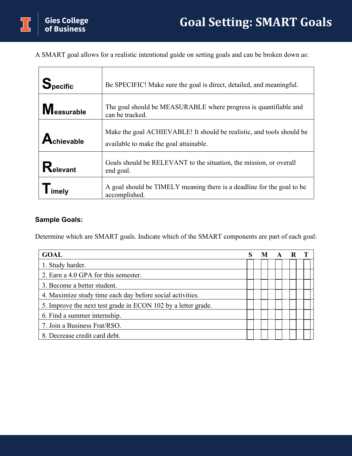A SMART goal allows for a realistic intentional guide on setting goals and can be broken down as:

| <b>Specific</b>   | Be SPECIFIC! Make sure the goal is direct, detailed, and meaningful.                                            |
|-------------------|-----------------------------------------------------------------------------------------------------------------|
| <b>Measurable</b> | The goal should be MEASURABLE where progress is quantifiable and<br>can be tracked.                             |
| Achievable        | Make the goal ACHIEVABLE! It should be realistic, and tools should be<br>available to make the goal attainable. |
| Relevant          | Goals should be RELEVANT to the situation, the mission, or overall<br>end goal.                                 |
| –<br>imely        | A goal should be TIMELY meaning there is a deadline for the goal to be<br>accomplished.                         |

## **Sample Goals:**

Determine which are SMART goals. Indicate which of the SMART components are part of each goal:

| <b>GOAL</b>                                                   |  | M | $\mathbf A$ | R |  |
|---------------------------------------------------------------|--|---|-------------|---|--|
| 1. Study harder.                                              |  |   |             |   |  |
| 2. Earn a 4.0 GPA for this semester.                          |  |   |             |   |  |
| 3. Become a better student.                                   |  |   |             |   |  |
| 4. Maximize study time each day before social activities.     |  |   |             |   |  |
| 5. Improve the next test grade in ECON 102 by a letter grade. |  |   |             |   |  |
| 6. Find a summer internship.                                  |  |   |             |   |  |
| 7. Join a Business Frat/RSO.                                  |  |   |             |   |  |
| 8. Decrease credit card debt.                                 |  |   |             |   |  |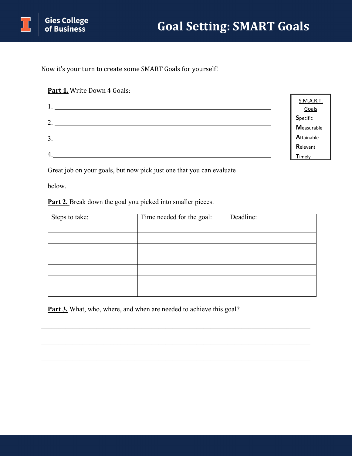

Now it's your turn to create some SMART Goals for yourself!

## **Part 1.** Write Down 4 Goals:

|                  | S.M.A.R.T.        |
|------------------|-------------------|
| . .              | Goals             |
| 2.               | Specific          |
|                  | <b>Measurable</b> |
| 3.               | Attainable        |
|                  | Relevant          |
| $\overline{4}$ . | Timely            |

Great job on your goals, but now pick just one that you can evaluate

below.

Part 2. Break down the goal you picked into smaller pieces.

| Steps to take: | Time needed for the goal: | Deadline: |
|----------------|---------------------------|-----------|
|                |                           |           |
|                |                           |           |
|                |                           |           |
|                |                           |           |
|                |                           |           |
|                |                           |           |
|                |                           |           |

\_\_\_\_\_\_\_\_\_\_\_\_\_\_\_\_\_\_\_\_\_\_\_\_\_\_\_\_\_\_\_\_\_\_\_\_\_\_\_\_\_\_\_\_\_\_\_\_\_\_\_\_\_\_\_\_\_\_\_\_\_\_\_\_\_\_\_\_\_\_\_\_\_\_\_\_\_\_

\_\_\_\_\_\_\_\_\_\_\_\_\_\_\_\_\_\_\_\_\_\_\_\_\_\_\_\_\_\_\_\_\_\_\_\_\_\_\_\_\_\_\_\_\_\_\_\_\_\_\_\_\_\_\_\_\_\_\_\_\_\_\_\_\_\_\_\_\_\_\_\_\_\_\_\_\_\_

Part 3. What, who, where, and when are needed to achieve this goal?